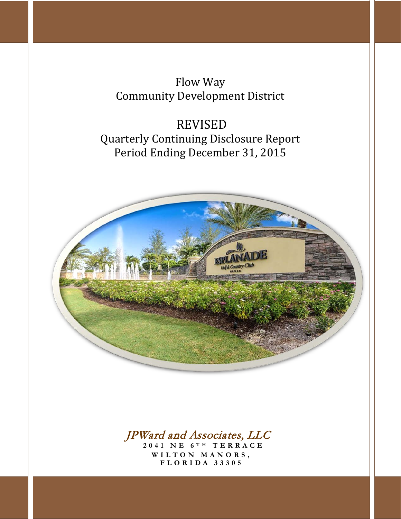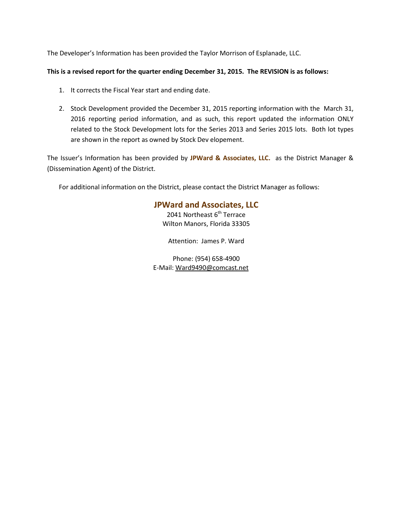The Developer's Information has been provided the Taylor Morrison of Esplanade, LLC.

# **This is a revised report for the quarter ending December 31, 2015. The REVISION is as follows:**

- 1. It corrects the Fiscal Year start and ending date.
- 2. Stock Development provided the December 31, 2015 reporting information with the March 31, 2016 reporting period information, and as such, this report updated the information ONLY related to the Stock Development lots for the Series 2013 and Series 2015 lots. Both lot types are shown in the report as owned by Stock Dev elopement.

The Issuer's Information has been provided by **JPWard & Associates, LLC.** as the District Manager & (Dissemination Agent) of the District.

For additional information on the District, please contact the District Manager as follows:

# **JPWard and Associates, LLC**

2041 Northeast  $6<sup>th</sup>$  Terrace Wilton Manors, Florida 33305

Attention: James P. Ward

Phone: (954) 658-4900 E-Mail: [Ward9490@comcast.net](mailto:Ward9490@comcast.net)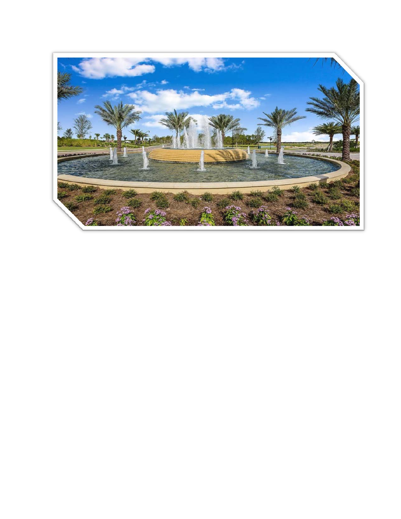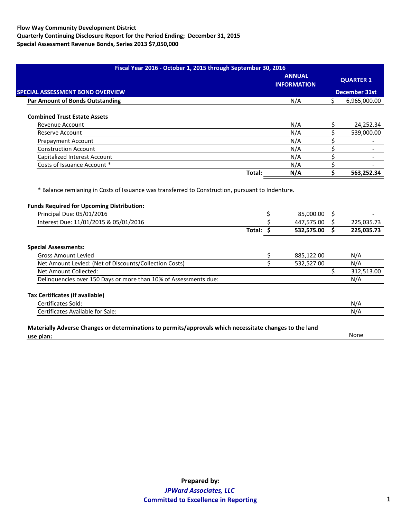|                                                                                                  | Fiscal Year 2016 - October 1, 2015 through September 30, 2016 |                                     |          |                                               |
|--------------------------------------------------------------------------------------------------|---------------------------------------------------------------|-------------------------------------|----------|-----------------------------------------------|
|                                                                                                  |                                                               | <b>ANNUAL</b><br><b>INFORMATION</b> |          | <b>QUARTER 1</b>                              |
| <b>SPECIAL ASSESSMENT BOND OVERVIEW</b>                                                          |                                                               |                                     |          | <b>December 31st</b>                          |
| <b>Par Amount of Bonds Outstanding</b>                                                           |                                                               | N/A                                 | \$       | 6,965,000.00                                  |
| <b>Combined Trust Estate Assets</b>                                                              |                                                               |                                     |          |                                               |
| <b>Revenue Account</b>                                                                           |                                                               | N/A                                 | \$       | 24,252.34                                     |
| <b>Reserve Account</b>                                                                           |                                                               | N/A                                 | \$       | 539,000.00                                    |
| Prepayment Account                                                                               |                                                               | N/A                                 | \$       |                                               |
| <b>Construction Account</b>                                                                      |                                                               | N/A                                 | \$       |                                               |
| Capitalized Interest Account                                                                     |                                                               | N/A                                 | \$       |                                               |
| Costs of Issuance Account *                                                                      |                                                               | N/A                                 | \$       |                                               |
|                                                                                                  | Total:                                                        | N/A                                 | \$       | 563,252.34                                    |
| * Balance remianing in Costs of Issuance was transferred to Construction, pursuant to Indenture. |                                                               |                                     |          |                                               |
| <b>Funds Required for Upcoming Distribution:</b>                                                 |                                                               |                                     |          |                                               |
| Principal Due: 05/01/2016                                                                        | \$                                                            | 85,000.00                           | \$       |                                               |
| Interest Due: 11/01/2015 & 05/01/2016                                                            | Ś<br>$\ddot{\bm{\zeta}}$<br>Total:                            | 447,575.00<br>532,575.00            | \$<br>Ś. |                                               |
| <b>Special Assessments:</b>                                                                      |                                                               |                                     |          |                                               |
| <b>Gross Amount Levied</b>                                                                       | \$                                                            | 885,122.00                          |          | N/A                                           |
| Net Amount Levied: (Net of Discounts/Collection Costs)                                           | Ś                                                             | 532,527.00                          |          | N/A                                           |
| Net Amount Collected:                                                                            |                                                               |                                     | \$       |                                               |
| Delinquencies over 150 Days or more than 10% of Assessments due:                                 |                                                               |                                     |          | N/A                                           |
| <b>Tax Certificates (If available)</b>                                                           |                                                               |                                     |          |                                               |
| Certificates Sold:                                                                               |                                                               |                                     |          | 225,035.73<br>225,035.73<br>312,513.00<br>N/A |

# **Materially Adverse Changes or determinations to permits/approvals which necessitate changes to the land use plan:**

**Prepared by:** *JPWard Associates, LLC* **Committed to Excellence in Reporting 1**

None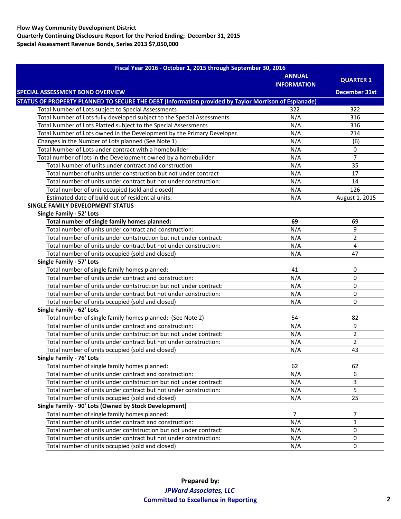| Fiscal Year 2016 - October 1, 2015 through September 30, 2016                                        | <b>ANNUAL</b>      |                      |  |
|------------------------------------------------------------------------------------------------------|--------------------|----------------------|--|
|                                                                                                      | <b>INFORMATION</b> | <b>QUARTER 1</b>     |  |
| <b>SPECIAL ASSESSMENT BOND OVERVIEW</b>                                                              |                    | <b>December 31st</b> |  |
| STATUS OF PROPERTY PLANNED TO SECURE THE DEBT (Information provided by Taylor Morrison of Esplanade) |                    |                      |  |
| Total Number of Lots subject to Special Assessments                                                  | 322                | 322                  |  |
| Total Number of Lots fully developed subject to the Special Assessments                              | N/A                | 316                  |  |
| Total Number of Lots Platted subject to the Special Assessments                                      | N/A                | 316                  |  |
| Total Number of Lots owned in the Development by the Primary Developer                               | N/A                | 214                  |  |
| Changes in the Number of Lots planned (See Note 1)                                                   | N/A                | (6)                  |  |
| Total Number of Lots under contract with a homebuilder                                               | N/A                | $\mathbf 0$          |  |
| Total number of lots in the Development owned by a homebuilder                                       | N/A                | $\overline{7}$       |  |
| Total Number of units under contract and construction                                                | N/A                | 35                   |  |
| Total number of units under construction but not under contract                                      | N/A                | 17                   |  |
| Total number of units under contract but not under construction:                                     | N/A                | 14                   |  |
| Total number of unit occupied (sold and closed)                                                      | N/A                | 126                  |  |
| Estimated date of build out of residential units:                                                    | N/A                | August 1, 2015       |  |
| SINGLE FAMILY DEVELOPMENT STATUS                                                                     |                    |                      |  |
| Single Family - 52' Lots                                                                             |                    |                      |  |
| Total number of single family homes planned:                                                         | 69                 | 69                   |  |
| Total number of units under contract and construction:                                               | N/A                | 9                    |  |
| Total number of units under contstruction but not under contract:                                    | N/A                | $\overline{2}$       |  |
| Total number of units under contract but not under construction:                                     | N/A                | 4                    |  |
| Total number of units occupied (sold and closed)                                                     | N/A                | 47                   |  |
| Single Family - 57' Lots                                                                             |                    |                      |  |
| Total number of single family homes planned:                                                         | 41                 | 0                    |  |
| Total number of units under contract and construction:                                               | N/A                | 0                    |  |
| Total number of units under contstruction but not under contract:                                    | N/A                | $\pmb{0}$            |  |
| Total number of units under contract but not under construction:                                     | N/A                | $\pmb{0}$            |  |
| Total number of units occupied (sold and closed)                                                     | N/A                | 0                    |  |
| Single Family - 62' Lots                                                                             |                    |                      |  |
| Total number of single family homes planned: (See Note 2)                                            | 54                 | 82                   |  |
| Total number of units under contract and construction:                                               | N/A                | 9                    |  |
| Total number of units under contstruction but not under contract:                                    | N/A                | $\overline{2}$       |  |
| Total number of units under contract but not under construction:                                     | N/A                | $\overline{2}$       |  |
| Total number of units occupied (sold and closed)                                                     | N/A                | 43                   |  |
| Single Family - 76' Lots                                                                             |                    |                      |  |
| Total number of single family homes planned:                                                         | 62                 | 62                   |  |
| Total number of units under contract and construction:                                               | N/A                | 6                    |  |
| Total number of units under contstruction but not under contract:                                    | N/A                | 3                    |  |
| Total number of units under contract but not under construction:                                     | N/A                | 5                    |  |
| Total number of units occupied (sold and closed)                                                     | N/A                | 25                   |  |
| Single Family - 90' Lots (Owned by Stock Development)                                                |                    |                      |  |
| Total number of single family homes planned:                                                         | $\overline{7}$     | 7                    |  |
| Total number of units under contract and construction:                                               | N/A                | $\mathbf{1}$         |  |
| Total number of units under contstruction but not under contract:                                    | N/A                | 0                    |  |
| Total number of units under contract but not under construction:                                     | N/A                | 0                    |  |
| Total number of units occupied (sold and closed)                                                     | N/A                | $\mathbf 0$          |  |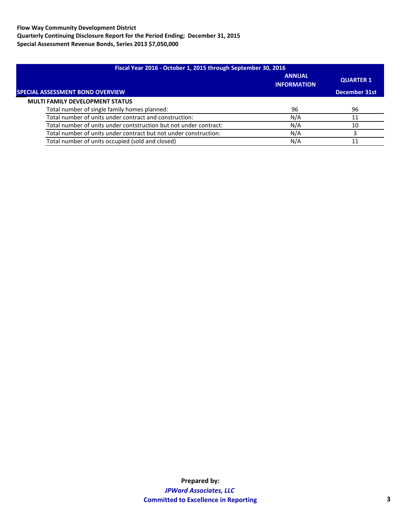| Fiscal Year 2016 - October 1, 2015 through September 30, 2016     |                                     |                                   |  |
|-------------------------------------------------------------------|-------------------------------------|-----------------------------------|--|
| <b>SPECIAL ASSESSMENT BOND OVERVIEW</b>                           | <b>ANNUAL</b><br><b>INFORMATION</b> | <b>QUARTER 1</b><br>December 31st |  |
| <b>MULTI FAMILY DEVELOPMENT STATUS</b>                            |                                     |                                   |  |
| Total number of single family homes planned:                      | 96                                  | 96                                |  |
| Total number of units under contract and construction:            | N/A                                 | 11                                |  |
| Total number of units under contstruction but not under contract: | N/A                                 | 10                                |  |
| Total number of units under contract but not under construction:  | N/A                                 |                                   |  |
| Total number of units occupied (sold and closed)                  | N/A                                 | 11                                |  |
|                                                                   |                                     |                                   |  |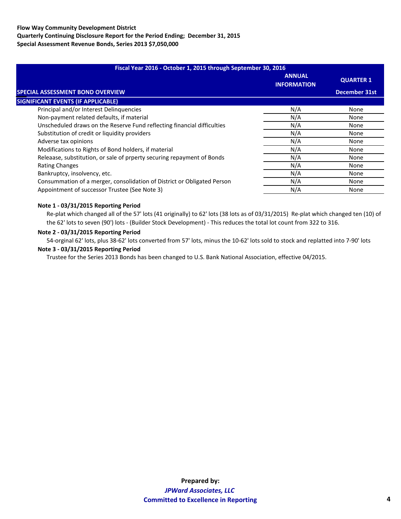| Fiscal Year 2016 - October 1, 2015 through September 30, 2016           |                                     |                      |  |
|-------------------------------------------------------------------------|-------------------------------------|----------------------|--|
|                                                                         | <b>ANNUAL</b><br><b>INFORMATION</b> | <b>QUARTER 1</b>     |  |
| <b>SPECIAL ASSESSMENT BOND OVERVIEW</b>                                 |                                     | <b>December 31st</b> |  |
| SIGNIFICANT EVENTS (IF APPLICABLE)                                      |                                     |                      |  |
| Principal and/or Interest Delinquencies                                 | N/A                                 | None                 |  |
| Non-payment related defaults, if material                               | N/A                                 | None                 |  |
| Unscheduled draws on the Reserve Fund reflecting financial difficulties | N/A                                 | None                 |  |
| Substitution of credit or liquidity providers                           | N/A                                 | None                 |  |
| Adverse tax opinions                                                    | N/A                                 | None                 |  |
| Modifications to Rights of Bond holders, if material                    | N/A                                 | None                 |  |
| Releaase, substitution, or sale of prperty securing repayment of Bonds  | N/A                                 | None                 |  |
| <b>Rating Changes</b>                                                   | N/A                                 | None                 |  |
| Bankruptcy, insolvency, etc.                                            | N/A                                 | None                 |  |
| Consummation of a merger, consolidation of District or Obligated Person | N/A                                 | None                 |  |
| Appointment of successor Trustee (See Note 3)                           | N/A                                 | None                 |  |
|                                                                         |                                     |                      |  |

### **Note 1 - 03/31/2015 Reporting Period**

Re-plat which changed all of the 57' lots (41 originally) to 62' lots (38 lots as of 03/31/2015) Re-plat which changed ten (10) of the 62' lots to seven (90') lots - (Builder Stock Development) - This reduces the total lot count from 322 to 316.

# **Note 2 - 03/31/2015 Reporting Period**

54-orginal 62' lots, plus 38-62' lots converted from 57' lots, minus the 10-62' lots sold to stock and replatted into 7-90' lots

### **Note 3 - 03/31/2015 Reporting Period**

Trustee for the Series 2013 Bonds has been changed to U.S. Bank National Association, effective 04/2015.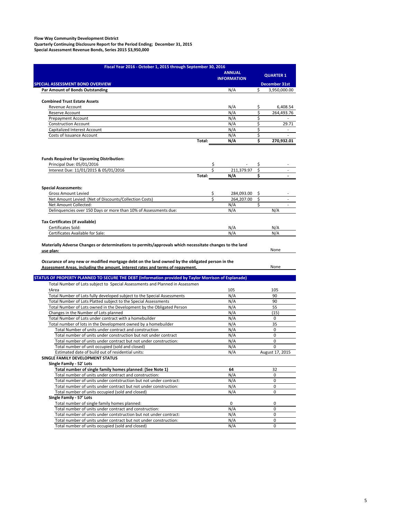#### **Flow Way Community Development District**

**Quarterly Continuing Disclosure Report for the Period Ending; December 31, 2015**

**Special Assessment Revenue Bonds, Series 2015 \$3,950,000**

| Fiscal Year 2016 - October 1, 2015 through September 30, 2016                                                        | <b>ANNUAL</b>      | <b>QUARTER 1</b>     |
|----------------------------------------------------------------------------------------------------------------------|--------------------|----------------------|
|                                                                                                                      | <b>INFORMATION</b> |                      |
| SPECIAL ASSESSMENT BOND OVERVIEW                                                                                     |                    | December 31st        |
| <b>Par Amount of Bonds Outstanding</b>                                                                               | N/A                | 3,950,000.00<br>Ś.   |
| <b>Combined Trust Estate Assets</b>                                                                                  |                    |                      |
| Revenue Account                                                                                                      | N/A                | \$<br>6,408.54       |
| Reserve Account                                                                                                      | N/A                | Ś<br>264,493.76      |
| Prepayment Account                                                                                                   | N/A                | \$<br>$\overline{a}$ |
| <b>Construction Account</b>                                                                                          | N/A                | \$<br>29.71          |
| Capitalized Interest Account                                                                                         | N/A                | \$                   |
| <b>Costs of Issuance Account</b>                                                                                     | N/A                | \$<br>$\overline{a}$ |
| Total:                                                                                                               | N/A                | \$<br>270,932.01     |
| <b>Funds Required for Upcoming Distribution:</b>                                                                     |                    |                      |
| Principal Due: 05/01/2016                                                                                            | \$                 | \$                   |
| Interest Due: 11/01/2015 & 05/01/2016                                                                                | \$<br>211,379.97   | \$                   |
| Total:                                                                                                               | N/A                | Ś                    |
|                                                                                                                      |                    |                      |
| <b>Special Assessments:</b>                                                                                          |                    |                      |
| <b>Gross Amount Levied</b>                                                                                           | \$<br>284,093.00   | \$                   |
| Net Amount Levied: (Net of Discounts/Collection Costs)                                                               | Ś<br>264,207.00    | \$                   |
| Net Amount Collected:                                                                                                | N/A                | \$                   |
| Delinquencies over 150 Days or more than 10% of Assessments due:                                                     | N/A                | N/A                  |
|                                                                                                                      |                    |                      |
| Tax Certificates (If available)                                                                                      |                    |                      |
| Certificates Sold:                                                                                                   | N/A                | N/A                  |
| Certificates Available for Sale:                                                                                     | N/A                | N/A                  |
| Occurance of any new or modified mortgage debt on the land owned by the obligated person in the                      |                    |                      |
| Assessment Areas. including the amount. interest rates and terms of repayment.                                       |                    | None                 |
| STATUS OF PROPERTY PLANNED TO SECURE THE DEBT (Information provided by Taylor Morrison of Esplanade)                 |                    |                      |
| Total Number of Lots subject to Special Assessments and Planned in Assessmen                                         |                    |                      |
| tArea                                                                                                                | 105                | 105                  |
| Total Number of Lots fully developed subject to the Special Assessments                                              | N/A                | 90                   |
| Total Number of Lots Platted subject to the Special Assessments                                                      | N/A                | 90                   |
| Total Number of Lots owned in the Development by the Obligated Person                                                | N/A                | 55                   |
| Changes in the Number of Lots planned                                                                                | N/A                | (15)                 |
| Total Number of Lots under contract with a homebuilder                                                               | N/A                | 0                    |
| Total number of lots in the Development owned by a homebuilder                                                       | N/A                | 35                   |
| Total Number of units under contract and construction                                                                | N/A                | 0                    |
| Total number of units under construction but not under contract                                                      | N/A                | 0                    |
| Total number of units under contract but not under construction:                                                     | N/A                | 0                    |
| Total number of unit occupied (sold and closed)                                                                      | N/A                | $\mathbf 0$          |
| Estimated date of build out of residential units:                                                                    | N/A                | August 17, 2015      |
| SINGLE FAMILY DEVELOPMENT STATUS                                                                                     |                    |                      |
| Single Family - 52' Lots                                                                                             |                    |                      |
| Total number of single family homes planned: (See Note 1)                                                            | 64                 | 32                   |
| Total number of units under contract and construction:                                                               | N/A                | 0                    |
| Total number of units under contstruction but not under contract:                                                    | N/A                | 0                    |
| Total number of units under contract but not under construction:                                                     | N/A                | 0                    |
| Total number of units occupied (sold and closed)                                                                     | N/A                | 0                    |
| Single Family - 57' Lots                                                                                             |                    |                      |
| Total number of single family homes planned:                                                                         | 0                  | 0                    |
| Total number of units under contract and construction:                                                               | N/A                | 0                    |
| Total number of units under contstruction but not under contract:                                                    | N/A                | 0                    |
| Total number of units under contract but not under construction:<br>Total number of units occupied (sold and closed) | N/A                | 0                    |
|                                                                                                                      | N/A                | 0                    |